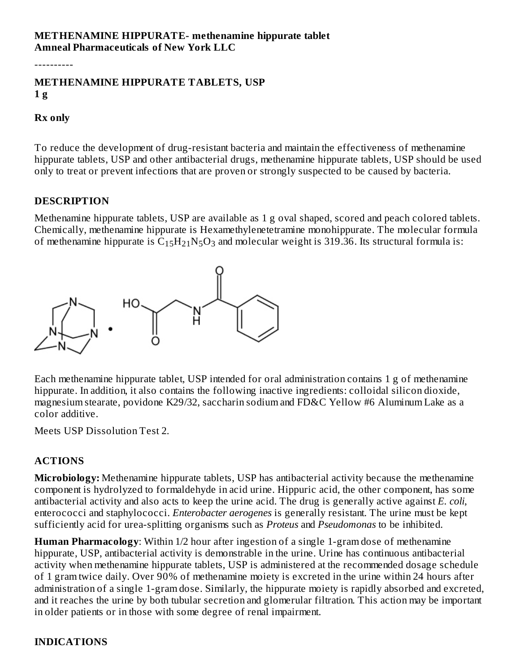#### **METHENAMINE HIPPURATE- methenamine hippurate tablet Amneal Pharmaceuticals of New York LLC**

----------

### **METHENAMINE HIPPURATE TABLETS, USP 1 g**

#### **Rx only**

To reduce the development of drug-resistant bacteria and maintain the effectiveness of methenamine hippurate tablets, USP and other antibacterial drugs, methenamine hippurate tablets, USP should be used only to treat or prevent infections that are proven or strongly suspected to be caused by bacteria.

#### **DESCRIPTION**

Methenamine hippurate tablets, USP are available as 1 g oval shaped, scored and peach colored tablets. Chemically, methenamine hippurate is Hexamethylenetetramine monohippurate. The molecular formula of methenamine hippurate is  $\rm C_{15}H_{21}N_5O_3$  and molecular weight is 319.36. Its structural formula is:



Each methenamine hippurate tablet, USP intended for oral administration contains 1 g of methenamine hippurate. In addition, it also contains the following inactive ingredients: colloidal silicon dioxide, magnesium stearate, povidone K29/32, saccharin sodium and FD&C Yellow #6 Aluminum Lake as a color additive.

Meets USP Dissolution Test 2.

# **ACTIONS**

**Microbiology:** Methenamine hippurate tablets, USP has antibacterial activity because the methenamine component is hydrolyzed to formaldehyde in acid urine. Hippuric acid, the other component, has some antibacterial activity and also acts to keep the urine acid. The drug is generally active against *E. coli*, enterococci and staphylococci. *Enterobacter aerogenes* is generally resistant. The urine must be kept sufficiently acid for urea-splitting organisms such as *Proteus* and *Pseudomonas* to be inhibited.

**Human Pharmacology**: Within 1/2 hour after ingestion of a single 1-gram dose of methenamine hippurate, USP, antibacterial activity is demonstrable in the urine. Urine has continuous antibacterial activity when methenamine hippurate tablets, USP is administered at the recommended dosage schedule of 1 gram twice daily. Over 90% of methenamine moiety is excreted in the urine within 24 hours after administration of a single 1-gram dose. Similarly, the hippurate moiety is rapidly absorbed and excreted, and it reaches the urine by both tubular secretion and glomerular filtration. This action may be important in older patients or in those with some degree of renal impairment.

# **INDICATIONS**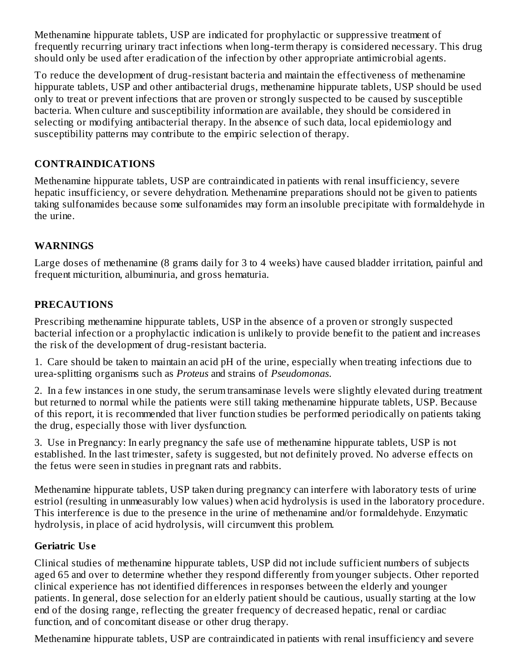Methenamine hippurate tablets, USP are indicated for prophylactic or suppressive treatment of frequently recurring urinary tract infections when long-term therapy is considered necessary. This drug should only be used after eradication of the infection by other appropriate antimicrobial agents.

To reduce the development of drug-resistant bacteria and maintain the effectiveness of methenamine hippurate tablets, USP and other antibacterial drugs, methenamine hippurate tablets, USP should be used only to treat or prevent infections that are proven or strongly suspected to be caused by susceptible bacteria. When culture and susceptibility information are available, they should be considered in selecting or modifying antibacterial therapy. In the absence of such data, local epidemiology and susceptibility patterns may contribute to the empiric selection of therapy.

# **CONTRAINDICATIONS**

Methenamine hippurate tablets, USP are contraindicated in patients with renal insufficiency, severe hepatic insufficiency, or severe dehydration. Methenamine preparations should not be given to patients taking sulfonamides because some sulfonamides may form an insoluble precipitate with formaldehyde in the urine.

# **WARNINGS**

Large doses of methenamine (8 grams daily for 3 to 4 weeks) have caused bladder irritation, painful and frequent micturition, albuminuria, and gross hematuria.

## **PRECAUTIONS**

Prescribing methenamine hippurate tablets, USP in the absence of a proven or strongly suspected bacterial infection or a prophylactic indication is unlikely to provide benefit to the patient and increases the risk of the development of drug-resistant bacteria.

1. Care should be taken to maintain an acid pH of the urine, especially when treating infections due to urea-splitting organisms such as *Proteus* and strains of *Pseudomonas*.

2. In a few instances in one study, the serum transaminase levels were slightly elevated during treatment but returned to normal while the patients were still taking methenamine hippurate tablets, USP. Because of this report, it is recommended that liver function studies be performed periodically on patients taking the drug, especially those with liver dysfunction.

3. Use in Pregnancy: In early pregnancy the safe use of methenamine hippurate tablets, USP is not established. In the last trimester, safety is suggested, but not definitely proved. No adverse effects on the fetus were seen in studies in pregnant rats and rabbits.

Methenamine hippurate tablets, USP taken during pregnancy can interfere with laboratory tests of urine estriol (resulting in unmeasurably low values) when acid hydrolysis is used in the laboratory procedure. This interference is due to the presence in the urine of methenamine and/or formaldehyde. Enzymatic hydrolysis, in place of acid hydrolysis, will circumvent this problem.

## **Geriatric Us e**

Clinical studies of methenamine hippurate tablets, USP did not include sufficient numbers of subjects aged 65 and over to determine whether they respond differently from younger subjects. Other reported clinical experience has not identified differences in responses between the elderly and younger patients. In general, dose selection for an elderly patient should be cautious, usually starting at the low end of the dosing range, reflecting the greater frequency of decreased hepatic, renal or cardiac function, and of concomitant disease or other drug therapy.

Methenamine hippurate tablets, USP are contraindicated in patients with renal insufficiency and severe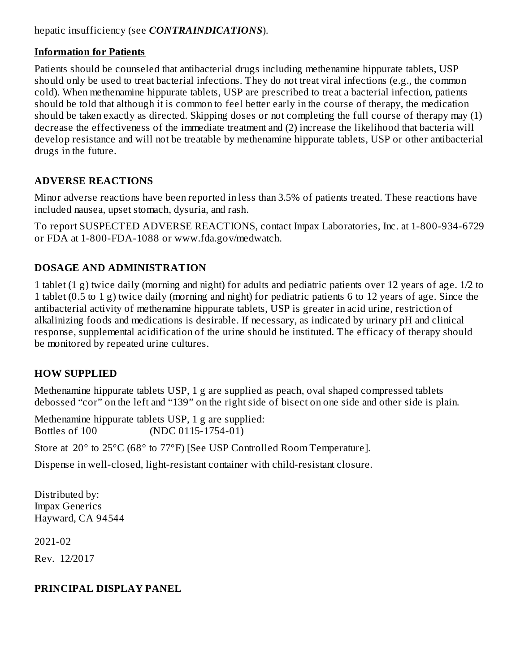## hepatic insufficiency (see *CONTRAINDICATIONS*).

## **Information for Patients**

Patients should be counseled that antibacterial drugs including methenamine hippurate tablets, USP should only be used to treat bacterial infections. They do not treat viral infections (e.g., the common cold). When methenamine hippurate tablets, USP are prescribed to treat a bacterial infection, patients should be told that although it is common to feel better early in the course of therapy, the medication should be taken exactly as directed. Skipping doses or not completing the full course of therapy may (1) decrease the effectiveness of the immediate treatment and (2) increase the likelihood that bacteria will develop resistance and will not be treatable by methenamine hippurate tablets, USP or other antibacterial drugs in the future.

## **ADVERSE REACTIONS**

Minor adverse reactions have been reported in less than 3.5% of patients treated. These reactions have included nausea, upset stomach, dysuria, and rash.

To report SUSPECTED ADVERSE REACTIONS, contact Impax Laboratories, Inc. at 1-800-934-6729 or FDA at 1-800-FDA-1088 or www.fda.gov/medwatch.

## **DOSAGE AND ADMINISTRATION**

1 tablet (1 g) twice daily (morning and night) for adults and pediatric patients over 12 years of age. 1/2 to 1 tablet (0.5 to 1 g) twice daily (morning and night) for pediatric patients 6 to 12 years of age. Since the antibacterial activity of methenamine hippurate tablets, USP is greater in acid urine, restriction of alkalinizing foods and medications is desirable. If necessary, as indicated by urinary pH and clinical response, supplemental acidification of the urine should be instituted. The efficacy of therapy should be monitored by repeated urine cultures.

## **HOW SUPPLIED**

Methenamine hippurate tablets USP, 1 g are supplied as peach, oval shaped compressed tablets debossed "cor" on the left and "139" on the right side of bisect on one side and other side is plain.

Methenamine hippurate tablets USP, 1 g are supplied: Bottles of 100 (NDC 0115-1754-01)

Store at 20° to 25°C (68° to 77°F) [See USP Controlled Room Temperature].

Dispense in well-closed, light-resistant container with child-resistant closure.

Distributed by: Impax Generics Hayward, CA 94544

2021-02

Rev. 12/2017

## **PRINCIPAL DISPLAY PANEL**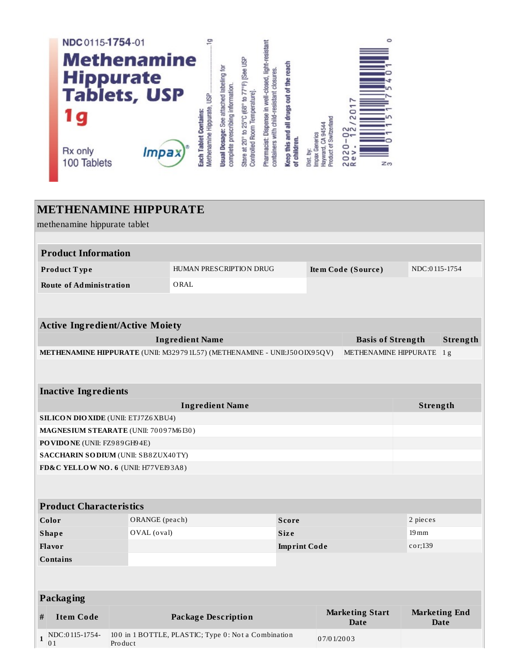

#### **METHENAMINE HIPPURATE** methenamine hippurate tablet **Product Information** HUMAN PRESCRIPTION DRUG NDC:0115-1754 Product Type Item Code (Source) **Route of Administration** ORAL **Active Ingredient/Active Moiety** Strength **Ingredient Name Basis of Strength** METHENAMINE HIPPURATE (UNII: M329791L57) (METHENAMINE - UNII:J50OIX95QV) METHENAMINE HIPPURATE 1g **Inactive Ingredients Ingredient Name** Strength **SILICON DIO XIDE (UNII: ETJ7Z6 XBU4)** MAGNESIUM STEARATE (UNII: 70097M6130) PO VIDO NE (UNII: FZ989GH94E) **SACCHARIN SODIUM (UNII: SB8ZUX40TY)** FD&C YELLOW NO. 6 (UNII: H77VEI93A8) **Product Characteristics** Color ORANGE (peach) Score 2 pieces OVAL (oval)  $19 \,\mathrm{mm}$ **Shape Size** cor;139 **Flavor Imprint Code Contains** Packaging **Marketing Start Marketing End Item Code Package Description Date Date** NDC:0115-1754-100 in 1 BOTTLE, PLASTIC; Type 0: Not a Combination  $\mathbf{1}$ 07/01/2003  $0<sub>1</sub>$ Product